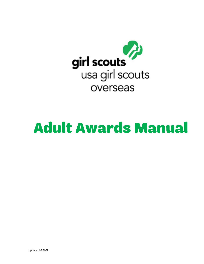

# Adult Awards Manual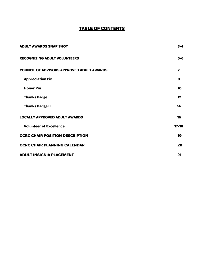### **TABLE OF CONTENTS**

<span id="page-1-0"></span>

| <b>ADULT AWARDS SNAP SHOT</b>                    | $3 - 4$                 |
|--------------------------------------------------|-------------------------|
| <b>RECOGNIZING ADULT VOLUNTEERS</b>              | $5-6$                   |
| <b>COUNCIL OF ADVISORS APPROVED ADULT AWARDS</b> | $\overline{\mathbf{z}}$ |
| <b>Appreciation Pin</b>                          | 8                       |
| <b>Honor Pin</b>                                 | 10                      |
| <b>Thanks Badge</b>                              | $12 \overline{ }$       |
| <b>Thanks Badge II</b>                           | 14                      |
| <b>LOCALLY APPROVED ADULT AWARDS</b>             | 16                      |
| <b>Volunteer of Excellence</b>                   | $17 - 18$               |
| <b>OCRC CHAIR POSITION DESCRIPTION</b>           | 19                      |
| <b>OCRC CHAIR PLANNING CALENDAR</b>              | 20                      |
| <b>ADULT INSIGNIA PLACEMENT</b>                  | 21                      |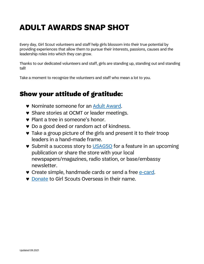# **ADULT AWARDS SNAP SHOT**

Every day, Girl Scout volunteers and staff help girls blossom into their true potential by providing experiences that allow them to pursue their interests, passions, causes and the leadership roles into which they can grow.

Thanks to our dedicated volunteers and staff, girls are standing up, standing out and standing tall!

Take a moment to recognize the volunteers and staff who mean a lot to you.

# Show your attitude of gratitude:

- ♥ Nominate someone for an Adult [Award.](http://www.usagso.org/en/for-volunteers/volunteer-appreciation/volunteer-awards.html)
- ♥ Share stories at OCMT or leader meetings.
- ♥ Plant a tree in someone's honor.
- ♥ Do a good deed or random act of kindness.
- ♥ Take a group picture of the girls and present it to their troop leaders in a hand-made frame.
- ♥ Submit a success story to [USAGSO](https://usagso.wufoo.com/forms/q14gjb061oabtaa/) for a feature in an upcoming publication or share the store with your local newspapers/magazines, radio station, or base/embassy newsletter.
- ♥ Create simple, handmade cards or send a free [e-card.](https://www.girlscouts.org/en/adults/volunteer/volunteer-appreciation/sharethanks-.html)
- ♥ [Donate](http://www.usagso.org/en/donate/invest-in-girls.html) to Girl Scouts Overseas in their name.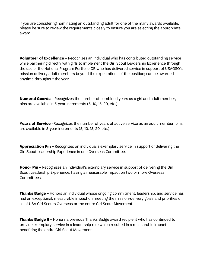If you are considering nominating an outstanding adult for one of the many awards available, please be sure to review the requirements closely to ensure you are selecting the appropriate award.

**Volunteer of Excellence** – Recognizes an individual who has contributed outstanding service while partnering directly with girls to implement the Girl Scout Leadership Experience through the use of the National Program Portfolio OR who has delivered service in support of USAGSO's mission delivery adult members beyond the expectations of the position; can be awarded anytime throughout the year

**Numeral Guards** – Recognizes the number of combined years as a girl and adult member, pins are available in 5-year increments (5, 10, 15, 20, etc.)

**Years of Service** –Recognizes the number of years of active service as an adult member, pins are available in 5-year increments (5, 10, 15, 20, etc.)

**Appreciation Pin** – Recognizes an individual's exemplary service in support of delivering the Girl Scout Leadership Experience in one Overseas Committee.

**Honor Pin** – Recognizes an individual's exemplary service in support of delivering the Girl Scout Leadership Experience, having a measurable impact on two or more Overseas Committees.

**Thanks Badge** – Honors an individual whose ongoing commitment, leadership, and service has had an exceptional, measurable impact on meeting the mission-delivery goals and priorities of all of USA Girl Scouts Overseas or the entire Girl Scout Movement.

**Thanks Badge II** – Honors a previous Thanks Badge award recipient who has continued to provide exemplary service in a leadership role which resulted in a measurable impact benefiting the entire Girl Scout Movement.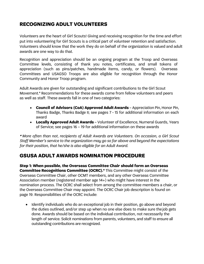# **RECOGNIZING ADULT VOLUNTEERS**

Volunteers are the heart of Girl Scouts! Giving and receiving recognition for the time and effort put into volunteering for Girl Scouts is a critical part of volunteer retention and satisfaction. Volunteers should know that the work they do on behalf of the organization is valued and adult awards are one way to do that.

Recognition and appreciation should be an ongoing program at the Troop and Overseas Committee levels, consisting of thank you notes, certificates, and small tokens of appreciation (such as pins/patches, handmade items, candy, or flowers). Overseas Committees and USAGSO Troops are also eligible for recognition through the Honor Community and Honor Troop program.

Adult Awards are given for outstanding and significant contributions to the Girl Scout Movement.\* Recommendations for these awards come from fellow volunteers and peers as well as staff. These awards fall in one of two categories:

- **Council of Advisors (CoA) Approved Adult Awards** Appreciation Pin, Honor Pin, Thanks Badge, Thanks Badge II; see pages 7 - 15 for additional information on each award
- **Locally Approved Adult Awards**  Volunteer of Excellence, Numeral Guards, Years of Service; see pages 16 – 19 for additional information on these awards

\* *More often than not, recipients of Adult Awards are Volunteers. On occasion, a Girl Scout Staff Member's service to the organization may go so far above and beyond the expectations for their position, that he/she is also eligible for an Adult Award.* 

# **GSUSA ADULT AWARDS NOMINATION PROCEDURE**

**Step 1: When possible, the Overseas Committee Chair should form an Overseas Committee Recognitions Committee (OCRC).**\* This Committee might consist of the Overseas Committee Chair, other OCMT members, and any other Overseas Committee Association member (registered member age 14+) who might have interest in the nomination process. The OCRC shall select from among the committee members a chair, or the Overseas Committee Chair may appoint. The OCRC Chair job description is found on page 19. Responsibilities of the OCRC include:

• Identify individuals who do an exceptional job in their position, go above and beyond the duties outlined, and/or step up when no one else does to make sure the job gets done. Awards should be based on the individual contribution, not necessarily the length of service. Solicit nominations from parents, volunteers, and staff to ensure all outstanding contributions are recognized.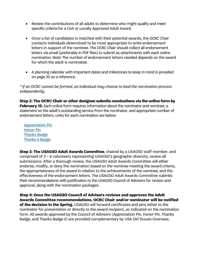- Review the contributions of all adults to determine who might qualify and meet specific criteria for a CoA or Locally Approved Adult Award.
- Once a list of candidates is matched with their potential awards, the OCRC Chair contacts individuals determined to be most appropriate to write endorsement letters in support of the nominee. The OCRC Chair should collect all endorsement letters via email (preferably in PDF files) to submit as attachments with each online nomination. Note: The number of endorsement letters needed depends on the award for which the adult is nominated.
- A planning calendar with important dates and milestones to keep in mind is provided on page 20 as a reference.

*\* If an OCRC cannot be formed, an individual may choose to lead the nomination process independently.*

**Step 2: The OCRC Chair or other designee submits nominations via the online form by February 15.** Each online form requires information about the nominator and nominee, a statement on the adult's outstanding service from the nominator, and appropriate number of endorsement letters. Links for each nomination are below:

[Appreciation Pin](https://usagso.wufoo.com/forms/rwskgcz1q5qetf/) [Honor Pin](https://usagso.wufoo.com/forms/r14k1zlu163njuu/) [Thanks Badge](https://usagso.wufoo.com/forms/r1shkx1i06958j1/) [Thanks II Badge](https://usagso.wufoo.com/forms/r6bwsnl0455pjq/)

**Step 3: The USAGSO Adult Awards Committee**, chaired by a USAGSO staff member, and comprised of 3 – 6 volunteers representing USAGSO's geographic diversity, review all submissions. After a thorough review, the USAGSO Adult Awards Committee will either endorse, modify, or deny the nomination based on the nominee meeting the award criteria, the appropriateness of the award in relation to the achievements of the nominee, and the effectiveness of the endorsement letters. The USAGSO Adult Awards Committee submits their recommendations with justification to the USAGSO Council of Advisors for review and approval, along with the nomination packages.

**Step 4: Once the USAGSO Council of Advisors reviews and approves the Adult Awards Committee recommendations, OCRC Chair and/or nominator will be notified of the decision in the Spring.** USAGSO will forward certificates and pins either to the nominator for presentation or directly to the award recipient, as indicated on the nomination form. All awards approved by the Council of Advisors (Appreciation Pin, Honor Pin, Thanks Badge, and Thanks Badge II) are provided complementary by USA Girl Scouts Overseas.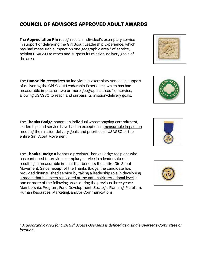# **COUNCIL OF ADVISORS APPROVED ADULT AWARDS**

The **Appreciation Pin** recognizes an individual's exemplary service in support of delivering the Girl Scout Leadership Experience, which has had measurable impact on one geographic area \* of service, helping USAGSO to reach and surpass its mission-delivery goals of the area.

The **Honor Pin** recognizes an individual's exemplary service in support of delivering the Girl Scout Leadership Experience, which has had measurable impact on two or more geographic areas \* of service, allowing USAGSO to reach and surpass its mission-delivery goals.

The **Thanks Badge** honors an individual whose ongoing commitment, leadership, and service have had an exceptional, measurable impact on meeting the mission-delivery goals and priorities of USAGSO or the entire Girl Scout Movement.

The **Thanks Badge II** honors a previous Thanks Badge recipient who has continued to provide exemplary service in a leadership role, resulting in measurable impact that benefits the entire Girl Scout Movement. Since receipt of the Thanks Badge, the candidate has provided distinguished service by taking a leadership role in developing a model that has been replicated at the national/international level in one or more of the following areas during the previous three years: Membership, Program, Fund Development, Strategic Planning, Pluralism, Human Resources, Marketing, and/or Communications.

*\* A geographic area for USA Girl Scouts Overseas is defined as a single Overseas Committee or location.* 







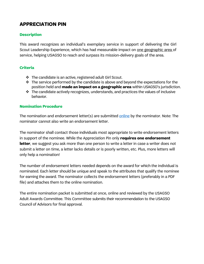## <span id="page-7-0"></span>**APPRECIATION PIN**

#### **Description**

This award recognizes an individual's exemplary service in support of delivering the Girl Scout Leadership Experience, which has had measurable impact on one geographic area of service, helping USAGSO to reach and surpass its mission-delivery goals of the area.

#### **Criteria**

- The candidate is an active, registered adult Girl Scout.
- $\cdot \cdot$  The service performed by the candidate is above and beyond the expectations for the position held and **made an impact on a geographic area** within USAGSO's jurisdiction.
- $\cdot \cdot$  The candidate actively recognizes, understands, and practices the values of inclusive behavior.

#### **Nomination Procedure**

The nomination and endorsement letter(s) are submitted [online](https://usagso.wufoo.com/forms/rwskgcz1q5qetf/) by the nominator. Note: The nominator cannot also write an endorsement letter.

The nominator shall contact those individuals most appropriate to write endorsement letters in support of the nominee. While the Appreciation Pin only **requires one endorsement letter**, we suggest you ask more than one person to write a letter in case a writer does not submit a letter on time, a letter lacks details or is poorly written, etc. Plus, more letters will only help a nomination!

The number of endorsement letters needed depends on the award for which the individual is nominated. Each letter should be unique and speak to the attributes that qualify the nominee for earning the award. The nominator collects the endorsement letters (preferably in a PDF file) and attaches them to the online nomination.

The entire nomination packet is submitted at once, online and reviewed by the USAGSO Adult Awards Committee. This Committee submits their recommendation to the USAGSO Council of Advisors for final approval.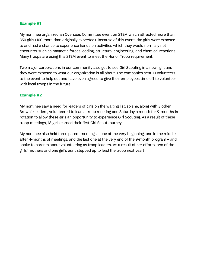My nominee organized an Overseas Committee event on STEM which attracted more than 350 girls (100 more than originally expected). Because of this event, the girls were exposed to and had a chance to experience hands on activities which they would normally not encounter such as magnetic forces, coding, structural engineering, and chemical reactions. Many troops are using this STEM event to meet the Honor Troop requirement.

Two major corporations in our community also got to see Girl Scouting in a new light and they were exposed to what our organization is all about. The companies sent 10 volunteers to the event to help out and have even agreed to give their employees time off to volunteer with local troops in the future!

#### **Example #2**

My nominee saw a need for leaders of girls on the waiting list, so she, along with 3 other Brownie leaders, volunteered to lead a troop meeting one Saturday a month for 9-months in rotation to allow these girls an opportunity to experience Girl Scouting. As a result of these troop meetings, 18 girls earned their first Girl Scout Journey.

<span id="page-8-0"></span>My nominee also held three parent meetings – one at the very beginning, one in the middle after 4-months of meetings, and the last one at the very end of the 9-month program – and spoke to parents about volunteering as troop leaders. As a result of her efforts, two of the girls' mothers and one girl's aunt stepped up to lead the troop next year!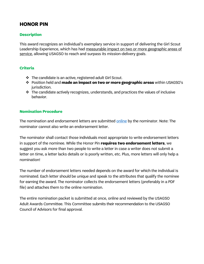## **HONOR PIN**

#### **Description**

This award recognizes an individual's exemplary service in support of delivering the Girl Scout Leadership Experience, which has had measurable impact on two or more geographic areas of service, allowing USAGSO to reach and surpass its mission-delivery goals.

#### **Criteria**

- The candidate is an active, registered adult Girl Scout.
- Position held and **made an impact on two or more geographic areas** within USAGSO's jurisdiction.
- $\cdot \cdot$  The candidate actively recognizes, understands, and practices the values of inclusive behavior.

#### **Nomination Procedure**

The nomination and endorsement letters are submitted [online](https://usagso.wufoo.com/forms/r14k1zlu163njuu/) by the nominator. Note: The nominator cannot also write an endorsement letter.

The nominator shall contact those individuals most appropriate to write endorsement letters in support of the nominee. While the Honor Pin **requires two endorsement letters**, we suggest you ask more than two people to write a letter in case a writer does not submit a letter on time, a letter lacks details or is poorly written, etc. Plus, more letters will only help a nomination!

The number of endorsement letters needed depends on the award for which the individual is nominated. Each letter should be unique and speak to the attributes that qualify the nominee for earning the award. The nominator collects the endorsement letters (preferably in a PDF file) and attaches them to the online nomination.

The entire nomination packet is submitted at once, online and reviewed by the USAGSO Adult Awards Committee. This Committee submits their recommendation to the USAGSO Council of Advisors for final approval.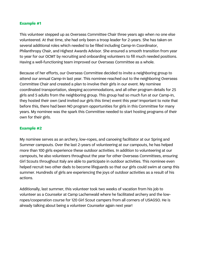This volunteer stepped up as Overseas Committee Chair three years ago when no one else volunteered. At that time, she had only been a troop leader for 2-years. She has taken on several additional roles which needed to be filled including Camp-In Coordinator, Philanthropy Chair, and Highest Awards Advisor. She ensured a smooth transition from year to year for our OCMT by recruiting and onboarding volunteers to fill much needed positions. Having a well-functioning team improved our Overseas Committee as a whole.

Because of her efforts, our Overseas Committee decided to invite a neighboring group to attend our annual Camp-In last year. This nominee reached out to the neighboring Overseas Committee Chair and created a plan to involve their girls in our event. My nominee coordinated transportation, sleeping accommodations, and all other program details for 25 girls and 5 adults from the neighboring group. This group had so much fun at our Camp-In, they hosted their own (and invited our girls this time) event this year! Important to note that before this, there had been NO program opportunities for girls in this Committee for many years. My nominee was the spark this Committee needed to start hosting programs of their own for their girls.

#### **Example #2**

My nominee serves as an archery, low-ropes, and canoeing facilitator at our Spring and Summer campouts. Over the last 2-years of volunteering at our campouts, he has helped more than 100 girls experience these outdoor activities. In addition to volunteering at our campouts, he also volunteers throughout the year for other Overseas Committees, ensuring Girl Scouts throughout Italy are able to participate in outdoor activities. This nominee even helped recruit two other dads to become lifeguards so that our girls could swim at camp this summer. Hundreds of girls are experiencing the joys of outdoor activities as a result of his actions.

<span id="page-10-0"></span>Additionally, last summer, this volunteer took two weeks of vacation from his job to volunteer as a Counselor at Camp Lachenwald where he facilitated archery and the lowropes/cooperation course for 120 Girl Scout campers from all corners of USAGSO. He is already talking about being a volunteer Counselor again next year!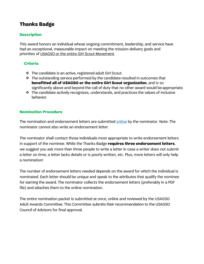# **Thanks Badge**

#### **Description**

This award honors an individual whose ongoing commitment, leadership, and service have had an exceptional, measurable impact on meeting the mission-delivery goals and priorities of USAGSO or the entire Girl Scout Movement.

#### **Criteria**

- The candidate is an active, registered adult Girl Scout.
- $\cdot \cdot$  The outstanding service performed by the candidate resulted in outcomes that **benefitted all of USAGSO or the entire Girl Scout organization**, and is so significantly above and beyond the call of duty that no other award would be appropriate.
- $\cdot \cdot$  The candidate actively recognizes, understands, and practices the values of inclusive behavior.

#### **Nomination Procedure**

The nomination and endorsement letters are submitted [online](https://usagso.wufoo.com/forms/r1shkx1i06958j1/) by the nominator. Note: The nominator cannot also write an endorsement letter.

The nominator shall contact those individuals most appropriate to write endorsement letters in support of the nominee. While the Thanks Badge **requires three endorsement letters**, we suggest you ask more than three people to write a letter in case a writer does not submit a letter on time, a letter lacks details or is poorly written, etc. Plus, more letters will only help a nomination!

The number of endorsement letters needed depends on the award for which the individual is nominated. Each letter should be unique and speak to the attributes that qualify the nominee for earning the award. The nominator collects the endorsement letters (preferably in a PDF file) and attaches them to the online nomination.

The entire nomination packet is submitted at once, online and reviewed by the USAGSO Adult Awards Committee. This Committee submits their recommendation to the USAGSO Council of Advisors for final approval.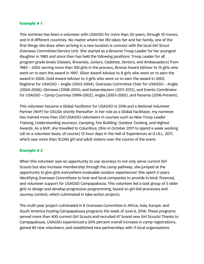This nominee has been a volunteer with USAGSO for more than 20-years, through 10 moves, and in 8 different countries. No matter where her life takes her and her family, one of the first things she does when arriving in a new location is connect with the local Girl Scout Overseas Committee/Service Unit. She started as a Brownie Troop Leader for her youngest daughter in 1985 and since then has held the following positions: Troop Leader for all program grade levels (Daisies, Brownies, Juniors, Cadettes, Seniors, and Ambassadors) from 1985 – 2002 serving more than 100 girls in the process, Bronze Award Advisor to 15 girls who went on to earn the award in 1997, Silver Award Advisor to 8 girls who went on to earn the award in 2000, Gold Award Advisor to 3 girls who went on to earn the award in 2002, Registrar for USAGSO – Anglia (2003-2004), Overseas Committee Chair for USAGSO – Anglia (2004-2006), Okinawa (2008-2010), and Kaiserslautern (2011-2012), and Events Coordinator for USAGSO – Camp Courtney (1999-2002), Anglia (2003-2005), and Panama (2016-Present).

This volunteer became a Global Facilitator for USAGSO in 2016 and a National Volunteer Partner (NVP) for GSUSA shortly thereafter. In her role as a Global Facilitator, my nominee has trained more than 250 USAGSO volunteers in courses such as New Troop Leader Training, Understanding Journeys, Camping, Fire Building, Outdoor Cooking, and Highest Awards. As a NVP, she travelled to Columbus, Ohio in October 2017 to spend a week working (all on a volunteer basis, of course) 12-hour days in the Hall of Experiences at G.I.R.L. 2017, which saw more than 10,000 girl and adult visitors over the course of the event.

#### **Example # 2**

When this volunteer saw an opportunity to use Journeys to not only serve current Girl Scouts but also increase membership through the camp pathway, she jumped at the opportunity to give girls everywhere invaluable outdoor experiences! She spent 2-years identifying Overseas Committees to host and local companies to provide in-kind, financial, and volunteer support for USAGSO Campapalooza. This volunteer led a task group of 5 older girls to design and develop progressive programming, based on girl-led processes and Journey content, which culminated in take-action projects.

The multi-year project culminated in 8 Overseas Committee in Africa, Asia, Europe, and South America hosting Campapalooza programs the week of June 6, 2016. These programs served more than 400 current Girl Scouts and recruited 47 brand new Girl Scouts! Thanks to Campapalooza, USAGSO experienced a 20% percent overall increase in camp registrations, gained 85 new volunteers, and established new partnerships with 11 local organizations.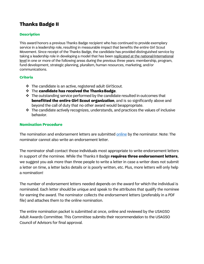# <span id="page-13-0"></span>**Thanks Badge II**

#### **Description**

This award honors a previous Thanks Badge recipient who has continued to provide exemplary service in a leadership role, resulting in measurable impact that benefits the entire Girl Scout Movement. Since receipt of the Thanks Badge, the candidate has provided distinguished service by taking a leadership role in developing a model that has been replicated at the national/international level in one or more of the following areas during the previous three years: membership, program, fund development, strategic planning, pluralism, human resources, marketing, and/or communications.

#### **Criteria**

- The candidate is an active, registered adult GirlScout.
- The **candidate has received the ThanksBadge**.
- $\cdot \cdot$  The outstanding service performed by the candidate resulted in outcomes that **benefitted the entire Girl Scout organization**, and is so significantly above and beyond the call of duty that no other award would beappropriate.
- $\cdot \cdot$  The candidate actively recognizes, understands, and practices the values of inclusive behavior.

#### **Nomination Procedure**

The nomination and endorsement letters are submitted [online](https://usagso.wufoo.com/forms/r6bwsnl0455pjq/) by the nominator. Note: The nominator cannot also write an endorsement letter.

The nominator shall contact those individuals most appropriate to write endorsement letters in support of the nominee. While the Thanks II Badge **requires three endorsement letters**, we suggest you ask more than three people to write a letter in case a writer does not submit a letter on time, a letter lacks details or is poorly written, etc. Plus, more letters will only help a nomination!

The number of endorsement letters needed depends on the award for which the individual is nominated. Each letter should be unique and speak to the attributes that qualify the nominee for earning the award. The nominator collects the endorsement letters (preferably in a PDF file) and attaches them to the online nomination.

The entire nomination packet is submitted at once, online and reviewed by the USAGSO Adult Awards Committee. This Committee submits their recommendation to the USAGSO Council of Advisors for final approval.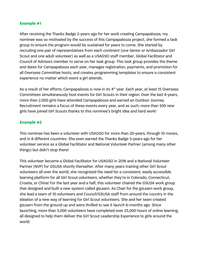After receiving the Thanks Badge 2-years ago for her work creating Campapalooza, my nominee was so motivated by the success of this Campapalooza project, she formed a task group to ensure the program would be sustained for years to come. She started by recruiting one pair of representatives from each continent (one Senior or Ambassador Girl Scout and one adult volunteer) as well as a USAGSO staff member, Global Facilitator and Council of Advisors member to serve on her task group. This task group provides the theme and dates for Campapalooza each year, manages registration, payments, and promotion for all Overseas Committee hosts, and creates programming templates to ensure a consistent experience no matter which event a girl attends.

As a result of her efforts, Campapalooza is now in its 4<sup>th</sup> year. Each year, at least 15 Overseas Committees simultaneously host events for Girl Scouts in their region. Over the last 4-years, more than 2,000 girls have attended Campapalooza and earned an Outdoor Journey. Recruitment remains a focus of these events every year, and as such, more than 500 new girls have joined Girl Scouts thanks to this nominee's bright idea and hard work!

#### **Example #2**

This nominee has been a volunteer with USAGSO for more than 20-years, through 10 moves, and in 8 different countries. She even earned the Thanks Badge 5-years ago for her volunteer service as a Global Facilitator and National Volunteer Partner (among many other things) but didn't stop there!

This volunteer became a Global Facilitator for USAGSO in 2016 and a National Volunteer Partner (NVP) for GSUSA shortly thereafter. After many years training other Girl Scout volunteers all over the world, she recognized the need for a consistent, easily accessible learning platform for all Girl Scout volunteers, whether they're in Colorado, Connecticut, Croatia, or China! For the last year and a half, this volunteer chaired the GSUSA work group that designed and built a new system called gsLearn. As Chair for the gsLearn work group, she lead a team of 10 volunteers and Council/GSUSA staff from around the country in the ideation of a new way of learning for Girl Scout volunteers. She and her team created gsLearn from the ground up and were thrilled to see it launch 6-months ago. Since launching, more than 5,000 volunteers have completed over 25,000 hours of online learning, all designed to help them deliver the Girl Scout Leadership Experience to girls around the world.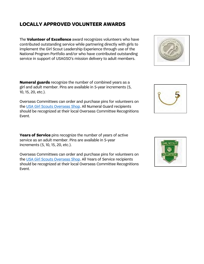## <span id="page-15-0"></span>**LOCALLY APPROVED VOLUNTEER AWARDS**

The **Volunteer of Excellence** award recognizes volunteers who have contributed outstanding service while partnering directly with girls to implement the Girl Scout Leadership Experience through use of the National Program Portfolio and/or who have contributed outstanding service in support of USAGSO's mission delivery to adult members.

**Numeral guards** recognize the number of combined years as a girl and adult member. Pins are available in 5-year increments (5, 10, 15, 20, etc.).

Overseas Committees can order and purchase pins for volunteers on the [USA Girl Scouts Overseas](http://www.overseasgirlscoutworld.org/25YR-NUMERAL-GUARD-731955096250-1857/) Shop. All Numeral Guard recipients should be recognized at their local Overseas Committee Recognitions Event.

**Years of Service** pins recognize the number of years of active service as an adult member. Pins are available in 5-year increments (5, 10, 15, 20, etc.).

Overseas Committees can order and purchase pins for volunteers on the [USA Girl Scouts Overseas Shop.](http://www.overseasgirlscoutworld.org/5-YR-VOL-SERVICE-PIN-731955099732-8991/) All Years of Service recipients should be recognized at their local Overseas Committee Recognitions Event.





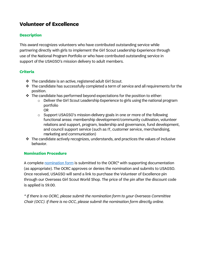# **Volunteer of Excellence**

#### **Description**

This award recognizes volunteers who have contributed outstanding service while partnering directly with girls to implement the Girl Scout Leadership Experience through use of the National Program Portfolio or who have contributed outstanding service in support of the USAGSO's mission delivery to adult members.

#### **Criteria**

- The candidate is an active, registered adult Girl Scout.
- $\cdot$  The candidate has successfully completed a term of service and all requirements for the position.
- $\cdot \cdot$  The candidate has performed beyond expectations for the position to either:
	- o Deliver the Girl Scout Leadership Experience to girls using the national program portfolio OR
	- o Support USAGSO's mission-delivery goals in one or more of the following functional areas: membership development/community cultivation, volunteer relations and support, program, leadership and governance, fund development, and council support service (such as IT, customer service, merchandising, marketing and communication)
- $\cdot$  The candidate actively recognizes, understands, and practices the values of inclusive behavior.

#### **Nomination Procedure**

A complete [nomination form](https://usagso.wufoo.com/forms/volunteer-of-excellence-nomination-form/) is submitted to the OCRC<sup>\*</sup> with supporting documentation (as appropriate). The OCRC approves or denies the nomination and submits to USAGSO. Once received, USAGSO will send a link to purchase the Volunteer of Excellence pin through our Overseas Girl Scout World Shop. The price of the pin after the discount code is applied is \$9.00.

*\* If there is no OCRC, please submit the nomination form to your Overseas Committee Chair (OCC). If there is no OCC, please submit the nomination form directly online.*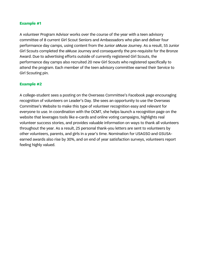A volunteer Program Advisor works over the course of the year with a teen advisory committee of 8 current Girl Scout Seniors and Ambassadors who plan and deliver four performance day camps, using content from the Junior aMuse Journey. As a result, 55 Junior Girl Scouts completed the aMuse Journey and consequently the pre-requisite for the Bronze Award. Due to advertising efforts outside of currently registered Girl Scouts, the performance day camps also recruited 20 new Girl Scouts who registered specifically to attend the program. Each member of the teen advisory committee earned their Service to Girl Scouting pin.

#### **Example #2**

A college-student sees a posting on the Overseas Committee's Facebook page encouraging recognition of volunteers on Leader's Day. She sees an opportunity to use the Overseas Committee's Website to make this type of volunteer recognition easy and relevant for everyone to use. In coordination with the OCMT, she helps launch a recognition page on the website that leverages tools like e-cards and online voting campaigns, highlights real volunteer success stories, and provides valuable information on ways to thank all volunteers throughout the year. As a result, 25 personal thank-you letters are sent to volunteers by other volunteers, parents, and girls in a year's time. Nomination for USAGSO and GSUSAearned awards also rise by 30%, and on end of year satisfaction surveys, volunteers report feeling highly valued.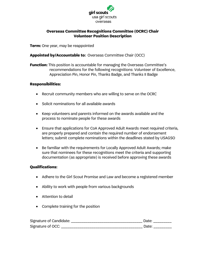

#### **Overseas Committee Recognitions Committee (OCRC) Chair Volunteer Position Description**

**Term:** One year, may be reappointed

#### **Appointed by/Accountable to:** Overseas Committee Chair (OCC)

**Function:** This position is accountable for managing the Overseas Committee's recommendations for the following recognitions: Volunteer of Excellence, Appreciation Pin, Honor Pin, Thanks Badge, and Thanks II Badge

#### **Responsibilities:**

- Recruit community members who are willing to serve on the OCRC
- Solicit nominations for all available awards
- Keep volunteers and parents informed on the awards available and the process to nominate people for these awards
- Ensure that applications for CoA Approved Adult Awards meet required criteria, are properly prepared and contain the required number of endorsement letters; submit complete nominations within the deadlines stated by USAGSO
- Be familiar with the requirements for Locally Approved Adult Awards; make sure that nominees for these recognitions meet the criteria and supporting documentation (as appropriate) is received before approving these awards

#### **Qualifications:**

- Adhere to the Girl Scout Promise and Law and become a registered member
- Ability to work with people from various backgrounds
- Attention to detail
- Complete training for the position

| Signature of Candidate: |  |
|-------------------------|--|
| Signature of OCC:       |  |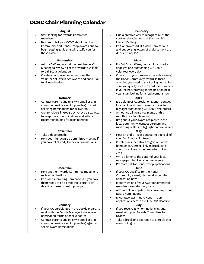# **OCRC Chair Planning Calendar**

| <b>August</b><br>Start looking for Awards Committee<br>members!<br>Be sure to tell your OCMT about the Honor<br>٠<br>Community and Honor Troop awards and to<br>begin setting goals that will qualify you for<br>these award                                                                    | <b>February</b><br>Find a creative way to recognize all of the<br>٠<br>cookie sale volunteers at this month's<br>Leader Meeting<br>CoA Approved Adult Award nominations<br>and supporting letters of endorsement are<br>due February 15th                                                                                                                                                                                           |
|-------------------------------------------------------------------------------------------------------------------------------------------------------------------------------------------------------------------------------------------------------------------------------------------------|-------------------------------------------------------------------------------------------------------------------------------------------------------------------------------------------------------------------------------------------------------------------------------------------------------------------------------------------------------------------------------------------------------------------------------------|
| <b>September</b><br>Ask for 5-10 minutes at the next Leaders'<br>Meeting to review all of the awards available<br>to Girl Scout volunteers<br>Create a half-page flier advertising the<br>Volunteer of Excellence Award and hand it out<br>to all new leaders                                   | <b>March</b><br>It's Girl Scout Week; contact local media to<br>spotlight one outstanding Girl Scout<br>volunteer every day<br>Check in on your progress towards earning<br>$\bullet$<br>the Honor Community Award; Is there<br>anything you need to start doing now to be<br>sure you qualify for the award this summer?<br>If you're not returning to the position next<br>$\bullet$<br>year, start looking for a replacement now |
| <b>October</b><br>Contact parents and girls (via email or at a<br>community-wide event if possible) to start<br>soliciting nominations for all awards<br>Create folders in Google Drive, Drop Box, etc.<br>٠<br>to keep track of nominations and letters of<br>recommendations for each nominee | April<br>It's Volunteer Appreciation Month; contact<br>٠<br>local radio and newspapers and ask to<br>highlight outstanding Girl Scout volunteers<br>Announce all award recipients at this<br>٠<br>month's Leaders' Meeting<br>Brag about your award recipients in the<br>local community; contact partners and<br>marketing outlets to highlight our volunteers                                                                     |
| <b>November</b><br>Take a deep breath!<br>Hold your first Awards Committee meeting if<br>$\bullet$<br>you haven't already to review nominations                                                                                                                                                 | May<br>Host an end-of-year banquet to thank all of<br>٠<br>your Girl Scout volunteers<br>Create fun superlatives to give out at the<br>$\bullet$<br>banquet. (i.e., most likely to break in to<br>song, most likely to get lost when hiking,<br>etc.)<br>Write a letter to the editor of your local<br>$\bullet$<br>newspaper thanking your volunteers<br>Promote call for Honor Troop applications<br>٠                            |
| <b>December</b><br>Hold another Awards Committee meeting to<br>review nominations<br>Consider submitting nominations if you have<br>them ready to go so that the February 15th<br>deadline doesn't sneak up on you                                                                              | June<br>If your OC qualifies for the Honor<br>Community award, start working on the<br>application now<br>Identify which of your Awards Committee<br>٠<br>members are returning, if any<br>Ask parents and girls if they have any more<br>٠<br>award nominations<br>Encourage last minute Honor Troop<br>٠<br>applications before the June 30 <sup>th</sup> deadline                                                                |
| <b>January</b><br>If your OC participates in the Cookie Program,<br>work with the Cookie Manager to have award<br>nomination forms at cookie booths<br>Contact parents and girls (via email or at a<br>$\bullet$<br>community-wide event if possible) again to<br>solicit award nominations     | July<br>If you receive any nominations in June,<br>meet with your Awards Committee to<br>review<br>Take a break and get ready to start all over<br>again in August!                                                                                                                                                                                                                                                                 |